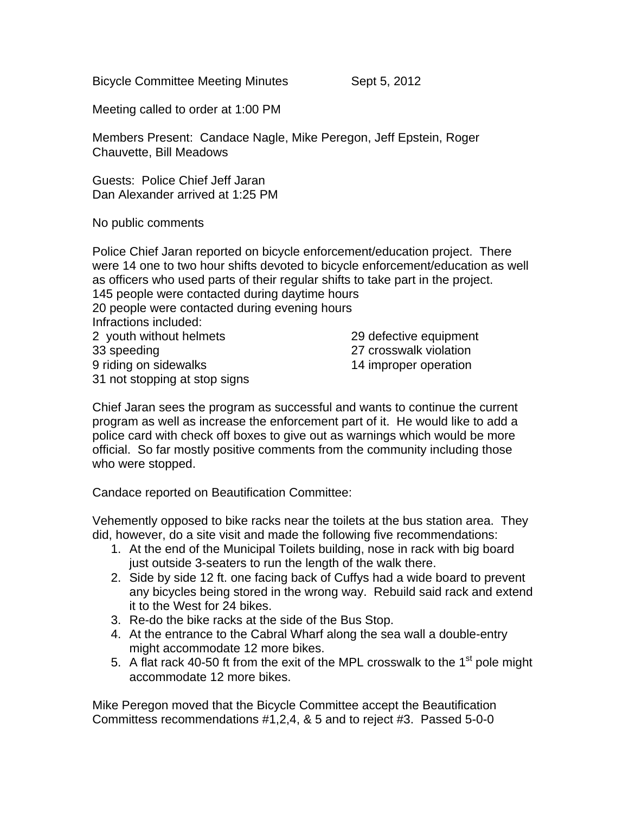Bicycle Committee Meeting Minutes Sept 5, 2012

Meeting called to order at 1:00 PM

Members Present: Candace Nagle, Mike Peregon, Jeff Epstein, Roger Chauvette, Bill Meadows

Guests: Police Chief Jeff Jaran Dan Alexander arrived at 1:25 PM

No public comments

Police Chief Jaran reported on bicycle enforcement/education project. There were 14 one to two hour shifts devoted to bicycle enforcement/education as well as officers who used parts of their regular shifts to take part in the project. 145 people were contacted during daytime hours 20 people were contacted during evening hours Infractions included: 2 youth without helmets 29 defective equipment 33 speeding 27 crosswalk violation 9 riding on sidewalks 14 improper operation 31 not stopping at stop signs

Chief Jaran sees the program as successful and wants to continue the current program as well as increase the enforcement part of it. He would like to add a police card with check off boxes to give out as warnings which would be more official. So far mostly positive comments from the community including those who were stopped.

Candace reported on Beautification Committee:

Vehemently opposed to bike racks near the toilets at the bus station area. They did, however, do a site visit and made the following five recommendations:

- 1. At the end of the Municipal Toilets building, nose in rack with big board just outside 3-seaters to run the length of the walk there.
- 2. Side by side 12 ft. one facing back of Cuffys had a wide board to prevent any bicycles being stored in the wrong way. Rebuild said rack and extend it to the West for 24 bikes.
- 3. Re-do the bike racks at the side of the Bus Stop.
- 4. At the entrance to the Cabral Wharf along the sea wall a double-entry might accommodate 12 more bikes.
- 5. A flat rack 40-50 ft from the exit of the MPL crosswalk to the  $1<sup>st</sup>$  pole might accommodate 12 more bikes.

Mike Peregon moved that the Bicycle Committee accept the Beautification Committess recommendations #1,2,4, & 5 and to reject #3. Passed 5-0-0